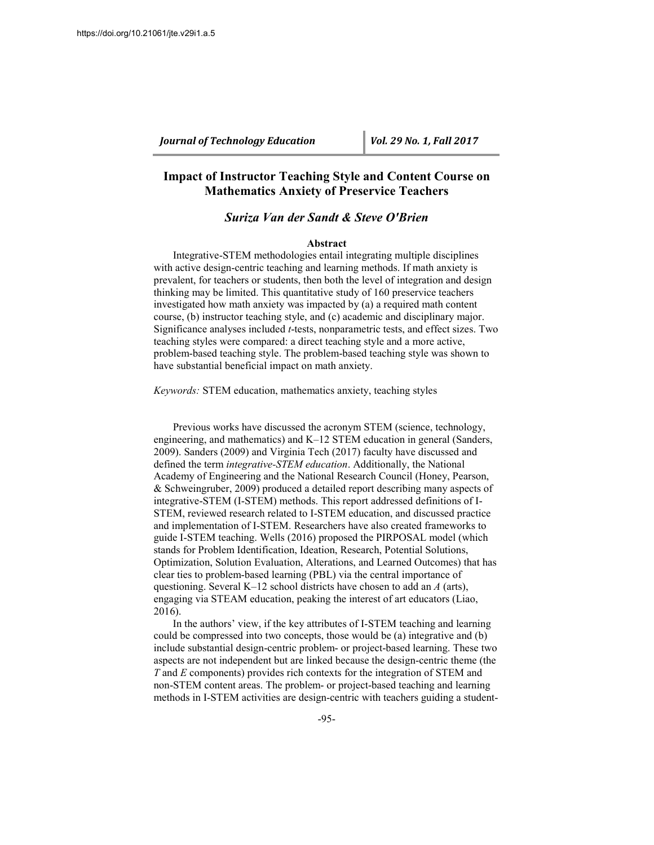# **Impact of Instructor Teaching Style and Content Course on Mathematics Anxiety of Preservice Teachers**

# *Suriza Van der Sandt & Steve O'Brien*

#### **Abstract**

Integrative-STEM methodologies entail integrating multiple disciplines with active design-centric teaching and learning methods. If math anxiety is prevalent, for teachers or students, then both the level of integration and design thinking may be limited. This quantitative study of 160 preservice teachers investigated how math anxiety was impacted by (a) a required math content course, (b) instructor teaching style, and (c) academic and disciplinary major. Significance analyses included *t*-tests, nonparametric tests, and effect sizes. Two teaching styles were compared: a direct teaching style and a more active, problem-based teaching style. The problem-based teaching style was shown to have substantial beneficial impact on math anxiety.

*Keywords:* STEM education, mathematics anxiety, teaching styles

Previous works have discussed the acronym STEM (science, technology, engineering, and mathematics) and K–12 STEM education in general (Sanders, 2009). Sanders (2009) and Virginia Tech (2017) faculty have discussed and defined the term *integrative-STEM education*. Additionally, the National Academy of Engineering and the National Research Council (Honey, Pearson, & Schweingruber, 2009) produced a detailed report describing many aspects of integrative-STEM (I-STEM) methods. This report addressed definitions of I-STEM, reviewed research related to I-STEM education, and discussed practice and implementation of I-STEM. Researchers have also created frameworks to guide I-STEM teaching. Wells (2016) proposed the PIRPOSAL model (which stands for Problem Identification, Ideation, Research, Potential Solutions, Optimization, Solution Evaluation, Alterations, and Learned Outcomes) that has clear ties to problem-based learning (PBL) via the central importance of questioning. Several K–12 school districts have chosen to add an *A* (arts), engaging via STEAM education, peaking the interest of art educators (Liao, 2016).

In the authors' view, if the key attributes of I-STEM teaching and learning could be compressed into two concepts, those would be (a) integrative and (b) include substantial design-centric problem- or project-based learning. These two aspects are not independent but are linked because the design-centric theme (the *T* and *E* components) provides rich contexts for the integration of STEM and non-STEM content areas. The problem- or project-based teaching and learning methods in I-STEM activities are design-centric with teachers guiding a student-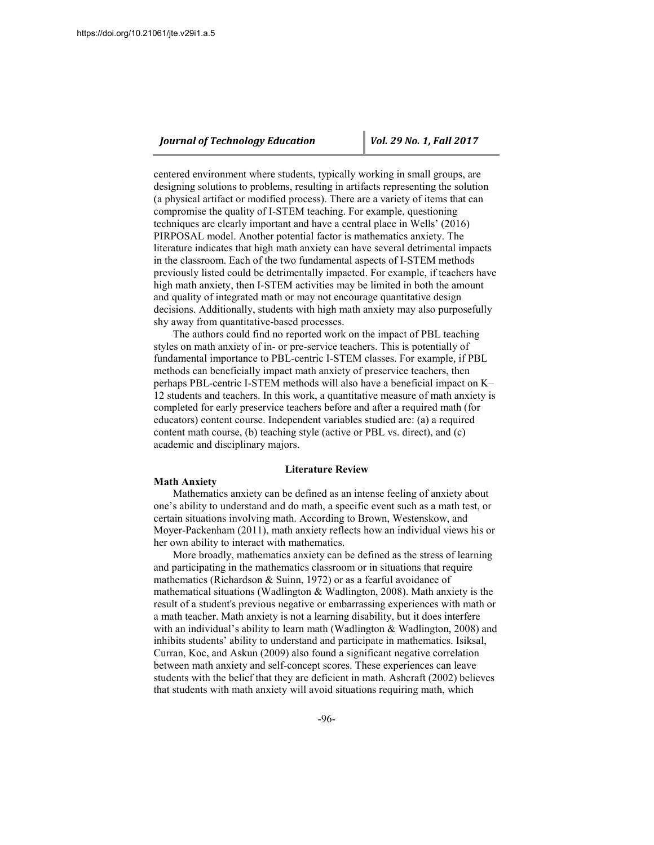centered environment where students, typically working in small groups, are designing solutions to problems, resulting in artifacts representing the solution (a physical artifact or modified process). There are a variety of items that can compromise the quality of I-STEM teaching. For example, questioning techniques are clearly important and have a central place in Wells' (2016) PIRPOSAL model. Another potential factor is mathematics anxiety. The literature indicates that high math anxiety can have several detrimental impacts in the classroom. Each of the two fundamental aspects of I-STEM methods previously listed could be detrimentally impacted. For example, if teachers have high math anxiety, then I-STEM activities may be limited in both the amount and quality of integrated math or may not encourage quantitative design decisions. Additionally, students with high math anxiety may also purposefully shy away from quantitative-based processes.

The authors could find no reported work on the impact of PBL teaching styles on math anxiety of in- or pre-service teachers. This is potentially of fundamental importance to PBL-centric I-STEM classes. For example, if PBL methods can beneficially impact math anxiety of preservice teachers, then perhaps PBL-centric I-STEM methods will also have a beneficial impact on K– 12 students and teachers. In this work, a quantitative measure of math anxiety is completed for early preservice teachers before and after a required math (for educators) content course. Independent variables studied are: (a) a required content math course, (b) teaching style (active or PBL vs. direct), and (c) academic and disciplinary majors.

#### **Literature Review**

#### **Math Anxiety**

Mathematics anxiety can be defined as an intense feeling of anxiety about one's ability to understand and do math, a specific event such as a math test, or certain situations involving math. According to Brown, Westenskow, and Moyer-Packenham (2011), math anxiety reflects how an individual views his or her own ability to interact with mathematics.

More broadly, mathematics anxiety can be defined as the stress of learning and participating in the mathematics classroom or in situations that require mathematics (Richardson & Suinn, 1972) or as a fearful avoidance of mathematical situations (Wadlington & Wadlington, 2008). Math anxiety is the result of a student's previous negative or embarrassing experiences with math or a math teacher. Math anxiety is not a learning disability, but it does interfere with an individual's ability to learn math (Wadlington & Wadlington, 2008) and inhibits students' ability to understand and participate in mathematics. Isiksal, Curran, Koc, and Askun (2009) also found a significant negative correlation between math anxiety and self-concept scores. These experiences can leave students with the belief that they are deficient in math. Ashcraft (2002) believes that students with math anxiety will avoid situations requiring math, which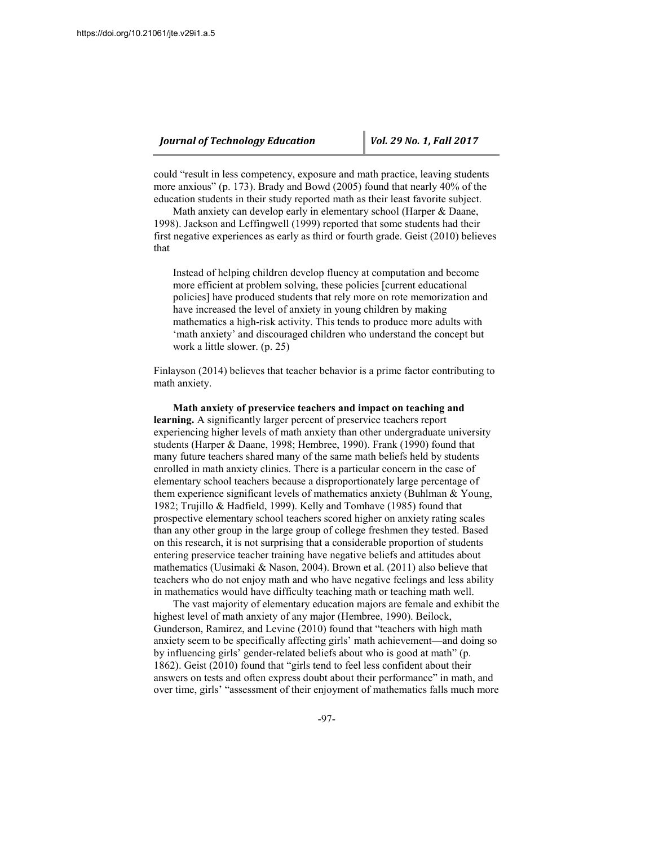could "result in less competency, exposure and math practice, leaving students more anxious" (p. 173). Brady and Bowd (2005) found that nearly 40% of the education students in their study reported math as their least favorite subject.

Math anxiety can develop early in elementary school (Harper & Daane, 1998). Jackson and Leffingwell (1999) reported that some students had their first negative experiences as early as third or fourth grade. Geist (2010) believes that

Instead of helping children develop fluency at computation and become more efficient at problem solving, these policies [current educational policies] have produced students that rely more on rote memorization and have increased the level of anxiety in young children by making mathematics a high-risk activity. This tends to produce more adults with 'math anxiety' and discouraged children who understand the concept but work a little slower. (p. 25)

Finlayson (2014) believes that teacher behavior is a prime factor contributing to math anxiety.

**Math anxiety of preservice teachers and impact on teaching and learning.** A significantly larger percent of preservice teachers report experiencing higher levels of math anxiety than other undergraduate university students (Harper & Daane, 1998; Hembree, 1990). Frank (1990) found that many future teachers shared many of the same math beliefs held by students enrolled in math anxiety clinics. There is a particular concern in the case of elementary school teachers because a disproportionately large percentage of them experience significant levels of mathematics anxiety (Buhlman & Young, 1982; Trujillo & Hadfield, 1999). Kelly and Tomhave (1985) found that prospective elementary school teachers scored higher on anxiety rating scales than any other group in the large group of college freshmen they tested. Based on this research, it is not surprising that a considerable proportion of students entering preservice teacher training have negative beliefs and attitudes about mathematics (Uusimaki & Nason, 2004). Brown et al. (2011) also believe that teachers who do not enjoy math and who have negative feelings and less ability in mathematics would have difficulty teaching math or teaching math well.

The vast majority of elementary education majors are female and exhibit the highest level of math anxiety of any major (Hembree, 1990). Beilock, Gunderson, Ramirez, and Levine (2010) found that "teachers with high math anxiety seem to be specifically affecting girls' math achievement—and doing so by influencing girls' gender-related beliefs about who is good at math" (p. 1862). Geist (2010) found that "girls tend to feel less confident about their answers on tests and often express doubt about their performance" in math, and over time, girls' "assessment of their enjoyment of mathematics falls much more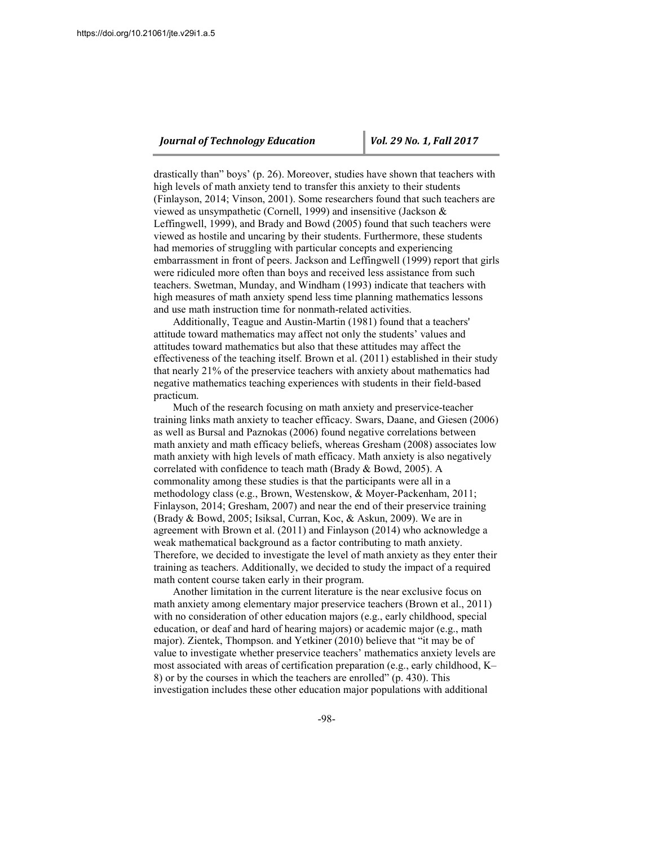drastically than" boys' (p. 26). Moreover, studies have shown that teachers with high levels of math anxiety tend to transfer this anxiety to their students (Finlayson, 2014; Vinson, 2001). Some researchers found that such teachers are viewed as unsympathetic (Cornell, 1999) and insensitive (Jackson & Leffingwell, 1999), and Brady and Bowd (2005) found that such teachers were viewed as hostile and uncaring by their students. Furthermore, these students had memories of struggling with particular concepts and experiencing embarrassment in front of peers. Jackson and Leffingwell (1999) report that girls were ridiculed more often than boys and received less assistance from such teachers. Swetman, Munday, and Windham (1993) indicate that teachers with high measures of math anxiety spend less time planning mathematics lessons and use math instruction time for nonmath-related activities.

Additionally, Teague and Austin-Martin (1981) found that a teachers' attitude toward mathematics may affect not only the students' values and attitudes toward mathematics but also that these attitudes may affect the effectiveness of the teaching itself. Brown et al. (2011) established in their study that nearly 21% of the preservice teachers with anxiety about mathematics had negative mathematics teaching experiences with students in their field-based practicum.

Much of the research focusing on math anxiety and preservice-teacher training links math anxiety to teacher efficacy. Swars, Daane, and Giesen (2006) as well as Bursal and Paznokas (2006) found negative correlations between math anxiety and math efficacy beliefs, whereas Gresham (2008) associates low math anxiety with high levels of math efficacy. Math anxiety is also negatively correlated with confidence to teach math (Brady & Bowd, 2005). A commonality among these studies is that the participants were all in a methodology class (e.g., Brown, Westenskow, & Moyer-Packenham, 2011; Finlayson, 2014; Gresham, 2007) and near the end of their preservice training (Brady & Bowd, 2005; Isiksal, Curran, Koc, & Askun, 2009). We are in agreement with Brown et al. (2011) and Finlayson (2014) who acknowledge a weak mathematical background as a factor contributing to math anxiety. Therefore, we decided to investigate the level of math anxiety as they enter their training as teachers. Additionally, we decided to study the impact of a required math content course taken early in their program.

Another limitation in the current literature is the near exclusive focus on math anxiety among elementary major preservice teachers (Brown et al., 2011) with no consideration of other education majors (e.g., early childhood, special education, or deaf and hard of hearing majors) or academic major (e.g., math major). Zientek, Thompson. and Yetkiner (2010) believe that "it may be of value to investigate whether preservice teachers' mathematics anxiety levels are most associated with areas of certification preparation (e.g., early childhood, K– 8) or by the courses in which the teachers are enrolled" (p. 430). This investigation includes these other education major populations with additional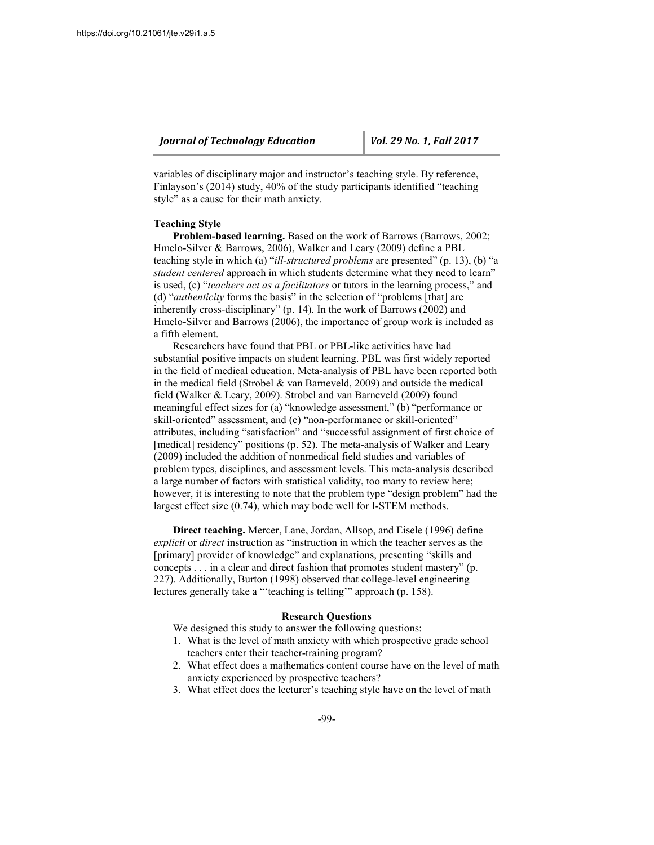variables of disciplinary major and instructor's teaching style. By reference, Finlayson's (2014) study, 40% of the study participants identified "teaching style" as a cause for their math anxiety.

#### **Teaching Style**

**Problem-based learning.** Based on the work of Barrows (Barrows, 2002; Hmelo-Silver & Barrows, 2006), Walker and Leary (2009) define a PBL teaching style in which (a) "*ill-structured problems* are presented" (p. 13), (b) "a *student centered* approach in which students determine what they need to learn" is used, (c) "*teachers act as a facilitators* or tutors in the learning process," and (d) "*authenticity* forms the basis" in the selection of "problems [that] are inherently cross-disciplinary" (p. 14). In the work of Barrows (2002) and Hmelo-Silver and Barrows (2006), the importance of group work is included as a fifth element.

Researchers have found that PBL or PBL-like activities have had substantial positive impacts on student learning. PBL was first widely reported in the field of medical education. Meta-analysis of PBL have been reported both in the medical field (Strobel & van Barneveld, 2009) and outside the medical field (Walker & Leary, 2009). Strobel and van Barneveld (2009) found meaningful effect sizes for (a) "knowledge assessment," (b) "performance or skill-oriented" assessment, and (c) "non-performance or skill-oriented" attributes, including "satisfaction" and "successful assignment of first choice of [medical] residency" positions (p. 52). The meta-analysis of Walker and Leary (2009) included the addition of nonmedical field studies and variables of problem types, disciplines, and assessment levels. This meta-analysis described a large number of factors with statistical validity, too many to review here; however, it is interesting to note that the problem type "design problem" had the largest effect size (0.74), which may bode well for I-STEM methods.

**Direct teaching.** Mercer, Lane, Jordan, Allsop, and Eisele (1996) define *explicit* or *direct* instruction as "instruction in which the teacher serves as the [primary] provider of knowledge" and explanations, presenting "skills and concepts . . . in a clear and direct fashion that promotes student mastery" (p. 227). Additionally, Burton (1998) observed that college-level engineering lectures generally take a "'teaching is telling'" approach (p. 158).

## **Research Questions**

We designed this study to answer the following questions:

- 1. What is the level of math anxiety with which prospective grade school teachers enter their teacher-training program?
- 2. What effect does a mathematics content course have on the level of math anxiety experienced by prospective teachers?
- 3. What effect does the lecturer's teaching style have on the level of math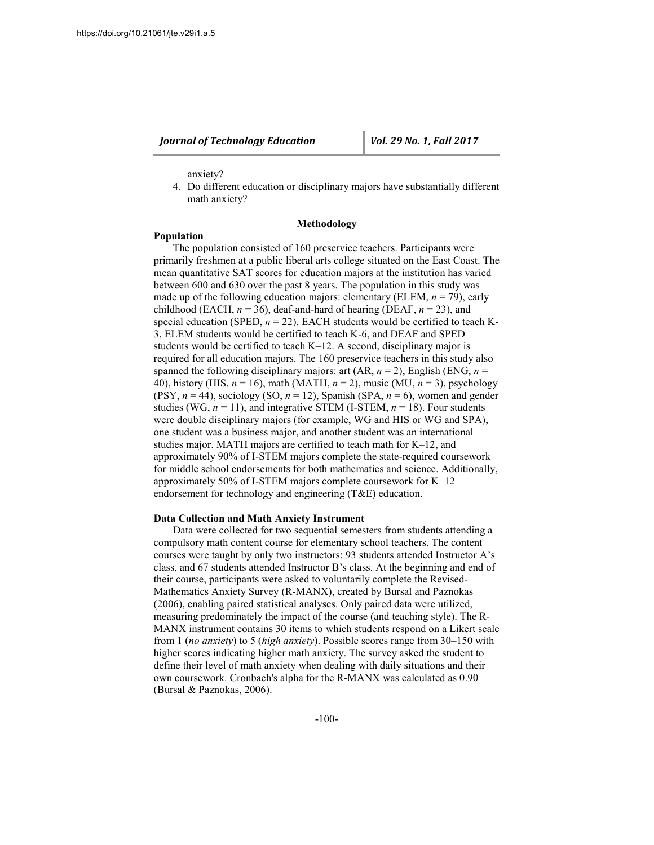## anxiety?

4. Do different education or disciplinary majors have substantially different math anxiety?

## **Methodology**

## **Population**

The population consisted of 160 preservice teachers. Participants were primarily freshmen at a public liberal arts college situated on the East Coast. The mean quantitative SAT scores for education majors at the institution has varied between 600 and 630 over the past 8 years. The population in this study was made up of the following education majors: elementary (ELEM,  $n = 79$ ), early childhood (EACH,  $n = 36$ ), deaf-and-hard of hearing (DEAF,  $n = 23$ ), and special education (SPED,  $n = 22$ ). EACH students would be certified to teach K-3, ELEM students would be certified to teach K-6, and DEAF and SPED students would be certified to teach K–12. A second, disciplinary major is required for all education majors. The 160 preservice teachers in this study also spanned the following disciplinary majors: art  $(AR, n = 2)$ , English  $(ENG, n = 1)$ 40), history (HIS, *n* = 16), math (MATH, *n* = 2), music (MU, *n* = 3), psychology (PSY,  $n = 44$ ), sociology (SO,  $n = 12$ ), Spanish (SPA,  $n = 6$ ), women and gender studies (WG,  $n = 11$ ), and integrative STEM (I-STEM,  $n = 18$ ). Four students were double disciplinary majors (for example, WG and HIS or WG and SPA), one student was a business major, and another student was an international studies major. MATH majors are certified to teach math for K–12, and approximately 90% of I-STEM majors complete the state-required coursework for middle school endorsements for both mathematics and science. Additionally, approximately 50% of I-STEM majors complete coursework for K–12 endorsement for technology and engineering (T&E) education.

### **Data Collection and Math Anxiety Instrument**

Data were collected for two sequential semesters from students attending a compulsory math content course for elementary school teachers. The content courses were taught by only two instructors: 93 students attended Instructor A's class, and 67 students attended Instructor B's class. At the beginning and end of their course, participants were asked to voluntarily complete the Revised-Mathematics Anxiety Survey (R-MANX), created by Bursal and Paznokas (2006), enabling paired statistical analyses. Only paired data were utilized, measuring predominately the impact of the course (and teaching style). The R-MANX instrument contains 30 items to which students respond on a Likert scale from 1 (*no anxiety*) to 5 (*high anxiety*). Possible scores range from 30–150 with higher scores indicating higher math anxiety. The survey asked the student to define their level of math anxiety when dealing with daily situations and their own coursework. Cronbach's alpha for the R-MANX was calculated as 0.90 (Bursal & Paznokas, 2006).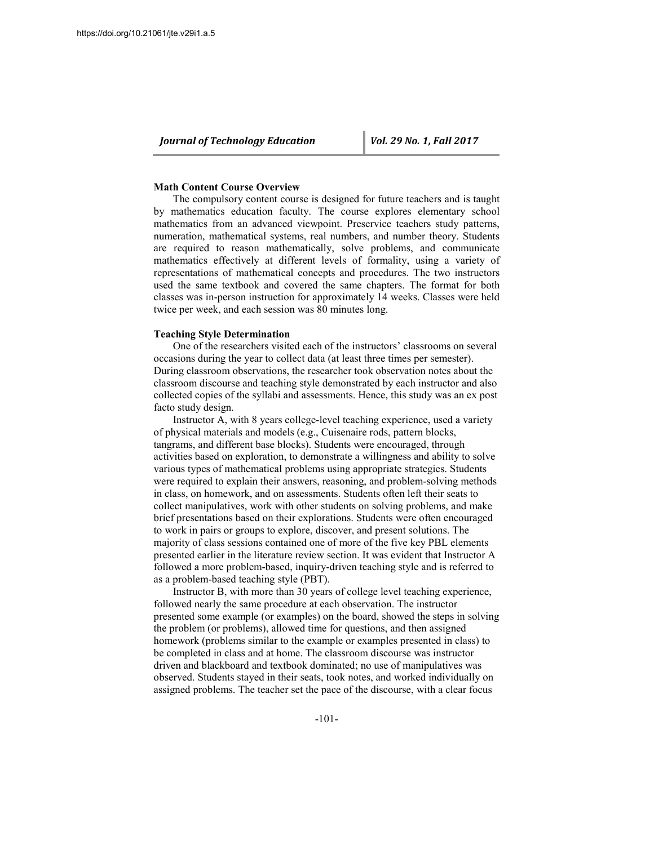### **Math Content Course Overview**

The compulsory content course is designed for future teachers and is taught by mathematics education faculty. The course explores elementary school mathematics from an advanced viewpoint. Preservice teachers study patterns, numeration, mathematical systems, real numbers, and number theory. Students are required to reason mathematically, solve problems, and communicate mathematics effectively at different levels of formality, using a variety of representations of mathematical concepts and procedures. The two instructors used the same textbook and covered the same chapters. The format for both classes was in-person instruction for approximately 14 weeks. Classes were held twice per week, and each session was 80 minutes long.

### **Teaching Style Determination**

One of the researchers visited each of the instructors' classrooms on several occasions during the year to collect data (at least three times per semester). During classroom observations, the researcher took observation notes about the classroom discourse and teaching style demonstrated by each instructor and also collected copies of the syllabi and assessments. Hence, this study was an ex post facto study design.

Instructor A, with 8 years college-level teaching experience, used a variety of physical materials and models (e.g., Cuisenaire rods, pattern blocks, tangrams, and different base blocks). Students were encouraged, through activities based on exploration, to demonstrate a willingness and ability to solve various types of mathematical problems using appropriate strategies. Students were required to explain their answers, reasoning, and problem-solving methods in class, on homework, and on assessments. Students often left their seats to collect manipulatives, work with other students on solving problems, and make brief presentations based on their explorations. Students were often encouraged to work in pairs or groups to explore, discover, and present solutions. The majority of class sessions contained one of more of the five key PBL elements presented earlier in the literature review section. It was evident that Instructor A followed a more problem-based, inquiry-driven teaching style and is referred to as a problem-based teaching style (PBT).

Instructor B, with more than 30 years of college level teaching experience, followed nearly the same procedure at each observation. The instructor presented some example (or examples) on the board, showed the steps in solving the problem (or problems), allowed time for questions, and then assigned homework (problems similar to the example or examples presented in class) to be completed in class and at home. The classroom discourse was instructor driven and blackboard and textbook dominated; no use of manipulatives was observed. Students stayed in their seats, took notes, and worked individually on assigned problems. The teacher set the pace of the discourse, with a clear focus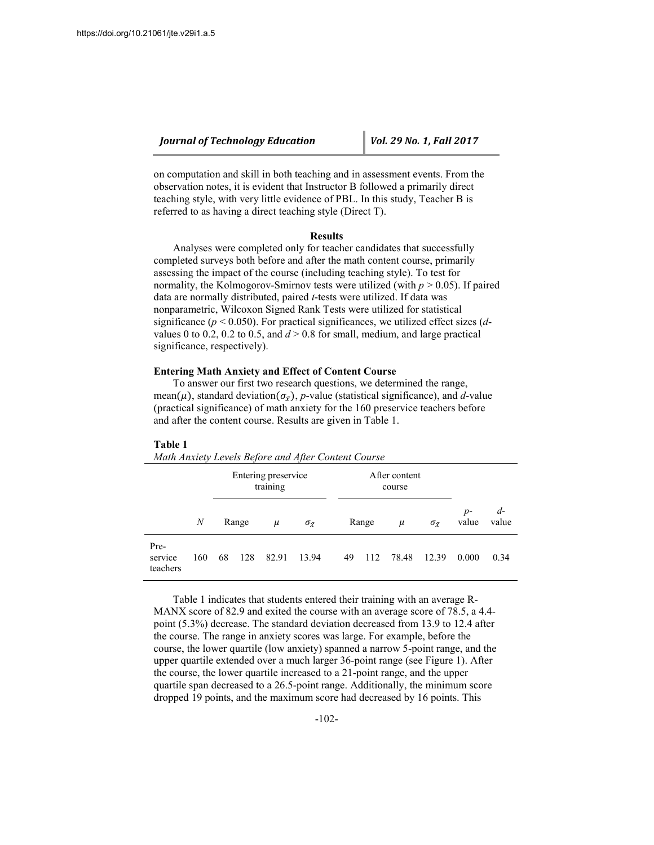on computation and skill in both teaching and in assessment events. From the observation notes, it is evident that Instructor B followed a primarily direct teaching style, with very little evidence of PBL. In this study, Teacher B is referred to as having a direct teaching style (Direct T).

### **Results**

Analyses were completed only for teacher candidates that successfully completed surveys both before and after the math content course, primarily assessing the impact of the course (including teaching style). To test for normality, the Kolmogorov-Smirnov tests were utilized (with *p* > 0.05). If paired data are normally distributed, paired *t*-tests were utilized. If data was nonparametric, Wilcoxon Signed Rank Tests were utilized for statistical significance (*p* < 0.050). For practical significances, we utilized effect sizes (*d*values 0 to 0.2, 0.2 to 0.5, and  $d > 0.8$  for small, medium, and large practical significance, respectively).

## **Entering Math Anxiety and Effect of Content Course**

*Math Anxiety Levels Before and After Content Course*

To answer our first two research questions, we determined the range, mean( $\mu$ ), standard deviation( $\sigma_{\bar{x}}$ ), *p*-value (statistical significance), and *d*-value (practical significance) of math anxiety for the 160 preservice teachers before and after the content course. Results are given in Table 1.

| <i>Main Analely Levels before and After Comem Course</i> |     |       |     |                                 |                    |    |                         |                             |       |               |               |
|----------------------------------------------------------|-----|-------|-----|---------------------------------|--------------------|----|-------------------------|-----------------------------|-------|---------------|---------------|
|                                                          |     |       |     | Entering preservice<br>training |                    |    | After content<br>course |                             |       |               |               |
|                                                          | N   | Range |     | $\mu$                           | $\sigma_{\bar{r}}$ |    | Range                   | $\mu$<br>$\sigma_{\bar{r}}$ |       | $p-$<br>value | $d-$<br>value |
| Pre-<br>service<br>teachers                              | 160 | 68    | 128 | 82.91                           | 13.94              | 49 | 112                     | 78.48                       | 12.39 | 0.000         | 0.34          |

#### **Table 1**

Table 1 indicates that students entered their training with an average R-MANX score of 82.9 and exited the course with an average score of 78.5, a 4.4 point (5.3%) decrease. The standard deviation decreased from 13.9 to 12.4 after the course. The range in anxiety scores was large. For example, before the course, the lower quartile (low anxiety) spanned a narrow 5-point range, and the upper quartile extended over a much larger 36-point range (see Figure 1). After the course, the lower quartile increased to a 21-point range, and the upper quartile span decreased to a 26.5-point range. Additionally, the minimum score dropped 19 points, and the maximum score had decreased by 16 points. This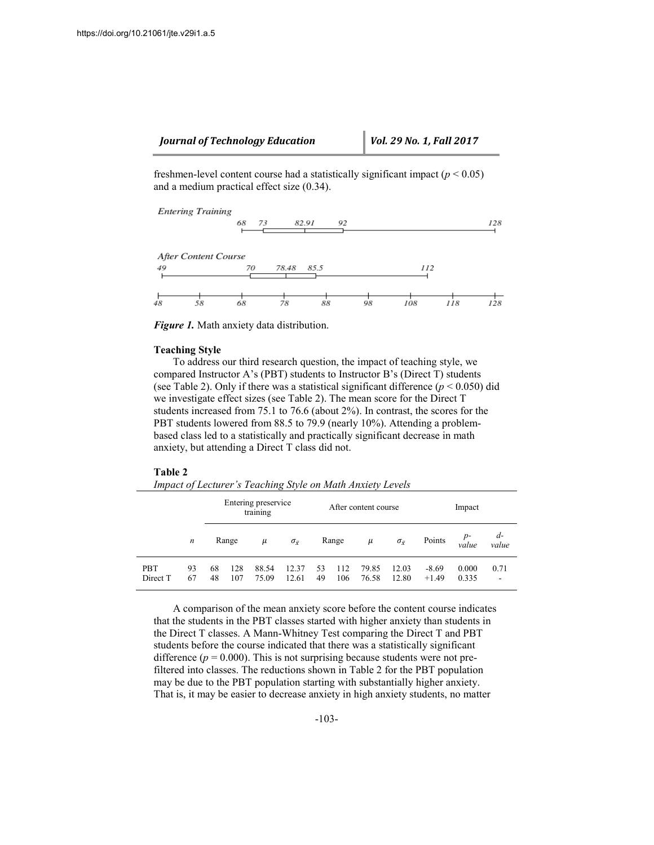freshmen-level content course had a statistically significant impact (*p* < 0.05) and a medium practical effect size (0.34).



*Figure 1.* Math anxiety data distribution.

#### **Teaching Style**

To address our third research question, the impact of teaching style, we compared Instructor A's (PBT) students to Instructor B's (Direct T) students (see Table 2). Only if there was a statistical significant difference  $(p < 0.050)$  did we investigate effect sizes (see Table 2). The mean score for the Direct T students increased from 75.1 to 76.6 (about 2%). In contrast, the scores for the PBT students lowered from 88.5 to 79.9 (nearly 10%). Attending a problembased class led to a statistically and practically significant decrease in math anxiety, but attending a Direct T class did not.

#### **Table 2**

```
Impact of Lecturer's Teaching Style on Math Anxiety Levels
```

|                        |                  |          |            | Entering preservice<br>training |                             |          |            | After content course | Impact             |                    |                                |           |
|------------------------|------------------|----------|------------|---------------------------------|-----------------------------|----------|------------|----------------------|--------------------|--------------------|--------------------------------|-----------|
|                        | $\boldsymbol{n}$ | Range    |            | $\mu$                           | $\sigma_{\bar{\mathrm{v}}}$ | Range    |            | $\mu$                | $\sigma_{\bar{x}}$ | Points             | $d-$<br>$p-$<br>value<br>value |           |
| <b>PBT</b><br>Direct T | 93<br>67         | 68<br>48 | 128<br>107 | 88.54<br>75.09                  | 12.37<br>12.61              | 53<br>49 | 112<br>106 | 79.85<br>76.58       | 12.03<br>12.80     | $-8.69$<br>$+1.49$ | 0.000<br>0.335                 | 0.71<br>٠ |

A comparison of the mean anxiety score before the content course indicates that the students in the PBT classes started with higher anxiety than students in the Direct T classes. A Mann-Whitney Test comparing the Direct T and PBT students before the course indicated that there was a statistically significant difference  $(p = 0.000)$ . This is not surprising because students were not prefiltered into classes. The reductions shown in Table 2 for the PBT population may be due to the PBT population starting with substantially higher anxiety. That is, it may be easier to decrease anxiety in high anxiety students, no matter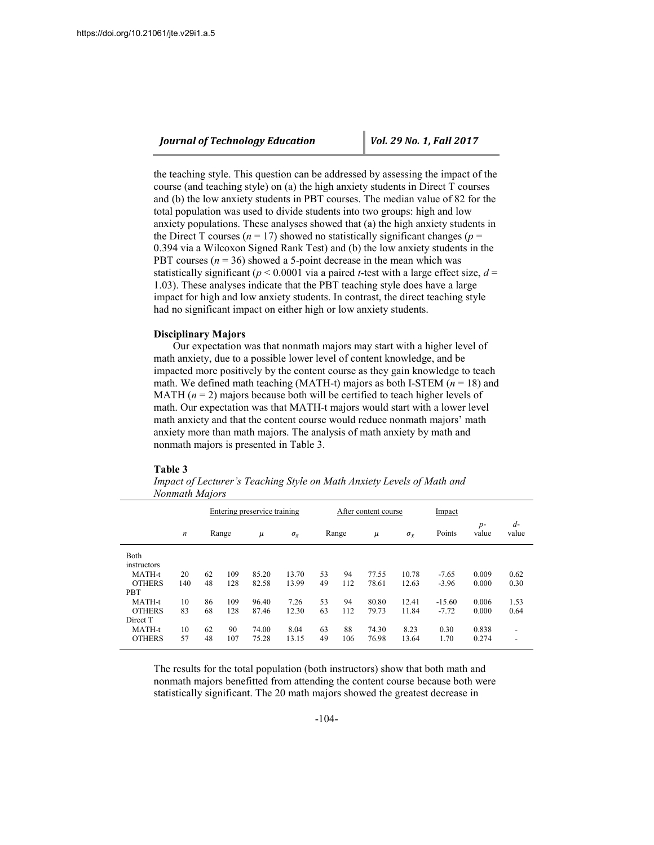the teaching style. This question can be addressed by assessing the impact of the course (and teaching style) on (a) the high anxiety students in Direct T courses and (b) the low anxiety students in PBT courses. The median value of 82 for the total population was used to divide students into two groups: high and low anxiety populations. These analyses showed that (a) the high anxiety students in the Direct T courses ( $n = 17$ ) showed no statistically significant changes ( $p =$ 0.394 via a Wilcoxon Signed Rank Test) and (b) the low anxiety students in the PBT courses  $(n = 36)$  showed a 5-point decrease in the mean which was statistically significant ( $p < 0.0001$  via a paired *t*-test with a large effect size,  $d =$ 1.03). These analyses indicate that the PBT teaching style does have a large impact for high and low anxiety students. In contrast, the direct teaching style had no significant impact on either high or low anxiety students.

## **Disciplinary Majors**

Our expectation was that nonmath majors may start with a higher level of math anxiety, due to a possible lower level of content knowledge, and be impacted more positively by the content course as they gain knowledge to teach math. We defined math teaching (MATH-t) majors as both I-STEM  $(n = 18)$  and MATH  $(n = 2)$  majors because both will be certified to teach higher levels of math. Our expectation was that MATH-t majors would start with a lower level math anxiety and that the content course would reduce nonmath majors' math anxiety more than math majors. The analysis of math anxiety by math and nonmath majors is presented in Table 3.

#### **Table 3**

|               |                  |       |     | Entering preservice training |                    |       |     | After content course |                    | Impact   |               |                          |
|---------------|------------------|-------|-----|------------------------------|--------------------|-------|-----|----------------------|--------------------|----------|---------------|--------------------------|
|               | $\boldsymbol{n}$ | Range |     | $\mu$                        | $\sigma_{\bar{x}}$ | Range |     | $\mu$                | $\sigma_{\bar{x}}$ | Points   | $p-$<br>value | $d-$<br>value            |
| Both          |                  |       |     |                              |                    |       |     |                      |                    |          |               |                          |
| instructors   |                  |       |     |                              |                    |       |     |                      |                    |          |               |                          |
| MATH-t        | 20               | 62    | 109 | 85.20                        | 13.70              | 53    | 94  | 77.55                | 10.78              | $-7.65$  | 0.009         | 0.62                     |
| <b>OTHERS</b> | 140              | 48    | 128 | 82.58                        | 13.99              | 49    | 112 | 78.61                | 12.63              | $-3.96$  | 0.000         | 0.30                     |
| <b>PBT</b>    |                  |       |     |                              |                    |       |     |                      |                    |          |               |                          |
| MATH-t        | 10               | 86    | 109 | 96.40                        | 7.26               | 53    | 94  | 80.80                | 12.41              | $-15.60$ | 0.006         | 1.53                     |
| <b>OTHERS</b> | 83               | 68    | 128 | 87.46                        | 12.30              | 63    | 112 | 79.73                | 11.84              | $-7.72$  | 0.000         | 0.64                     |
| Direct T      |                  |       |     |                              |                    |       |     |                      |                    |          |               |                          |
| MATH-t        | 10               | 62    | 90  | 74.00                        | 8.04               | 63    | 88  | 74.30                | 8.23               | 0.30     | 0.838         | $\overline{\phantom{0}}$ |
| <b>OTHERS</b> | 57               | 48    | 107 | 75.28                        | 13.15              | 49    | 106 | 76.98                | 13.64              | 1.70     | 0.274         | $\overline{\phantom{0}}$ |

*Impact of Lecturer's Teaching Style on Math Anxiety Levels of Math and Nonmath Majors*

The results for the total population (both instructors) show that both math and nonmath majors benefitted from attending the content course because both were statistically significant. The 20 math majors showed the greatest decrease in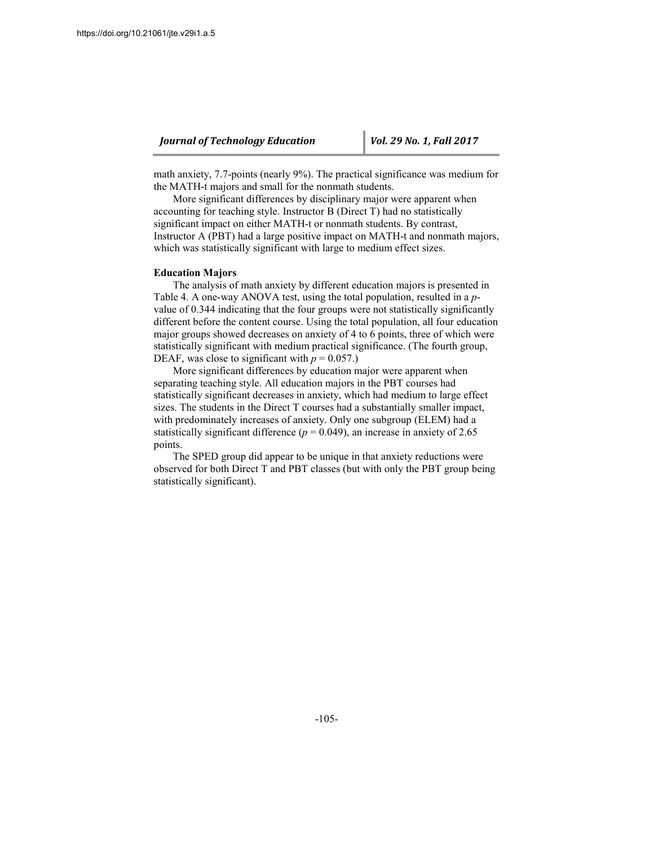math anxiety, 7.7-points (nearly 9%). The practical significance was medium for the MATH-t majors and small for the nonmath students.

More significant differences by disciplinary major were apparent when accounting for teaching style. Instructor B (Direct T) had no statistically significant impact on either MATH-t or nonmath students. By contrast, Instructor A (PBT) had a large positive impact on MATH-t and nonmath majors, which was statistically significant with large to medium effect sizes.

#### **Education Majors**

The analysis of math anxiety by different education majors is presented in Table 4. A one-way ANOVA test, using the total population, resulted in a *p*value of 0.344 indicating that the four groups were not statistically significantly different before the content course. Using the total population, all four education major groups showed decreases on anxiety of 4 to 6 points, three of which were statistically significant with medium practical significance. (The fourth group, DEAF, was close to significant with  $p = 0.057$ .)

More significant differences by education major were apparent when separating teaching style. All education majors in the PBT courses had statistically significant decreases in anxiety, which had medium to large effect sizes. The students in the Direct T courses had a substantially smaller impact, with predominately increases of anxiety. Only one subgroup (ELEM) had a statistically significant difference  $(p = 0.049)$ , an increase in anxiety of 2.65 points.

The SPED group did appear to be unique in that anxiety reductions were observed for both Direct T and PBT classes (but with only the PBT group being statistically significant).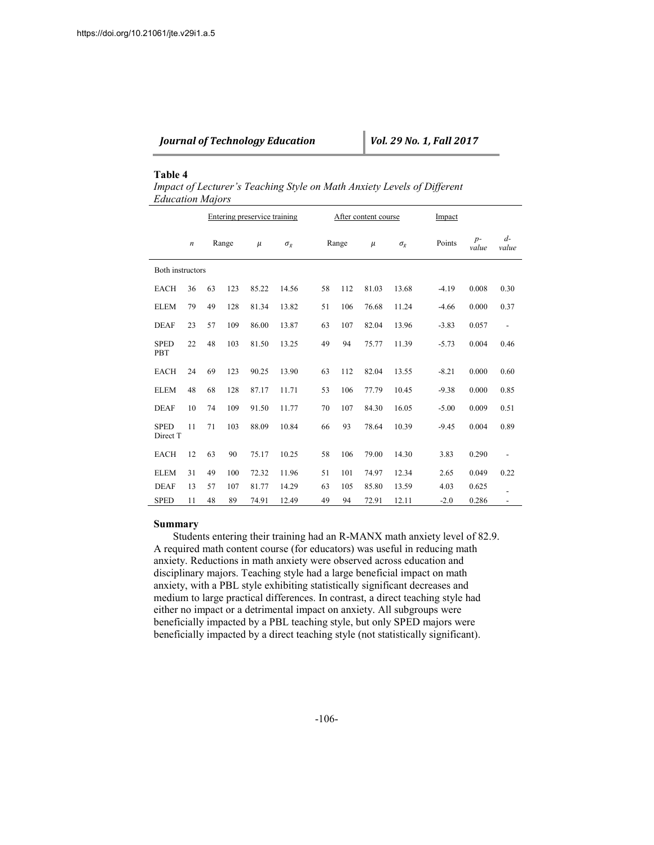|  | <b>Journal of Technology Education</b> |  |
|--|----------------------------------------|--|
|--|----------------------------------------|--|

## **Table 4**

*Impact of Lecturer's Teaching Style on Math Anxiety Levels of Different Education Majors*

|                         |                  | Entering preservice training |       |       |                    |    |       |     | After content course | Impact             |         |               |                          |
|-------------------------|------------------|------------------------------|-------|-------|--------------------|----|-------|-----|----------------------|--------------------|---------|---------------|--------------------------|
|                         | $\boldsymbol{n}$ |                              | Range | $\mu$ | $\sigma_{\bar{x}}$ |    | Range |     | $\mu$                | $\sigma_{\bar{r}}$ | Points  | $p-$<br>value | $d-$<br>value            |
| <b>Both instructors</b> |                  |                              |       |       |                    |    |       |     |                      |                    |         |               |                          |
| <b>EACH</b>             | 36               | 63                           | 123   | 85.22 | 14.56              | 58 |       | 112 | 81.03                | 13.68              | $-4.19$ | 0.008         | 0.30                     |
| <b>ELEM</b>             | 79               | 49                           | 128   | 81.34 | 13.82              | 51 |       | 106 | 76.68                | 11.24              | $-4.66$ | 0.000         | 0.37                     |
| <b>DEAF</b>             | 23               | 57                           | 109   | 86.00 | 13.87              | 63 |       | 107 | 82.04                | 13.96              | $-3.83$ | 0.057         | $\overline{\phantom{a}}$ |
| <b>SPED</b><br>PBT      | 22               | 48                           | 103   | 81.50 | 13.25              | 49 |       | 94  | 75.77                | 11.39              | $-5.73$ | 0.004         | 0.46                     |
| <b>EACH</b>             | 24               | 69                           | 123   | 90.25 | 13.90              | 63 |       | 112 | 82.04                | 13.55              | $-8.21$ | 0.000         | 0.60                     |
| <b>ELEM</b>             | 48               | 68                           | 128   | 87.17 | 11.71              | 53 |       | 106 | 77.79                | 10.45              | $-9.38$ | 0.000         | 0.85                     |
| <b>DEAF</b>             | 10               | 74                           | 109   | 91.50 | 11.77              | 70 |       | 107 | 84.30                | 16.05              | $-5.00$ | 0.009         | 0.51                     |
| <b>SPED</b><br>Direct T | 11               | 71                           | 103   | 88.09 | 10.84              | 66 | 93    |     | 78.64                | 10.39              | $-9.45$ | 0.004         | 0.89                     |
| <b>EACH</b>             | 12               | 63                           | 90    | 75.17 | 10.25              | 58 |       | 106 | 79.00                | 14.30              | 3.83    | 0.290         | $\overline{\phantom{a}}$ |
| <b>ELEM</b>             | 31               | 49                           | 100   | 72.32 | 11.96              | 51 |       | 101 | 74.97                | 12.34              | 2.65    | 0.049         | 0.22                     |
| <b>DEAF</b>             | 13               | 57                           | 107   | 81.77 | 14.29              | 63 |       | 105 | 85.80                | 13.59              | 4.03    | 0.625         |                          |
| <b>SPED</b>             | 11               | 48                           | 89    | 74.91 | 12.49              | 49 |       | 94  | 72.91                | 12.11              | $-2.0$  | 0.286         | $\overline{\phantom{a}}$ |

## **Summary**

Students entering their training had an R-MANX math anxiety level of 82.9. A required math content course (for educators) was useful in reducing math anxiety. Reductions in math anxiety were observed across education and disciplinary majors. Teaching style had a large beneficial impact on math anxiety, with a PBL style exhibiting statistically significant decreases and medium to large practical differences. In contrast, a direct teaching style had either no impact or a detrimental impact on anxiety. All subgroups were beneficially impacted by a PBL teaching style, but only SPED majors were beneficially impacted by a direct teaching style (not statistically significant).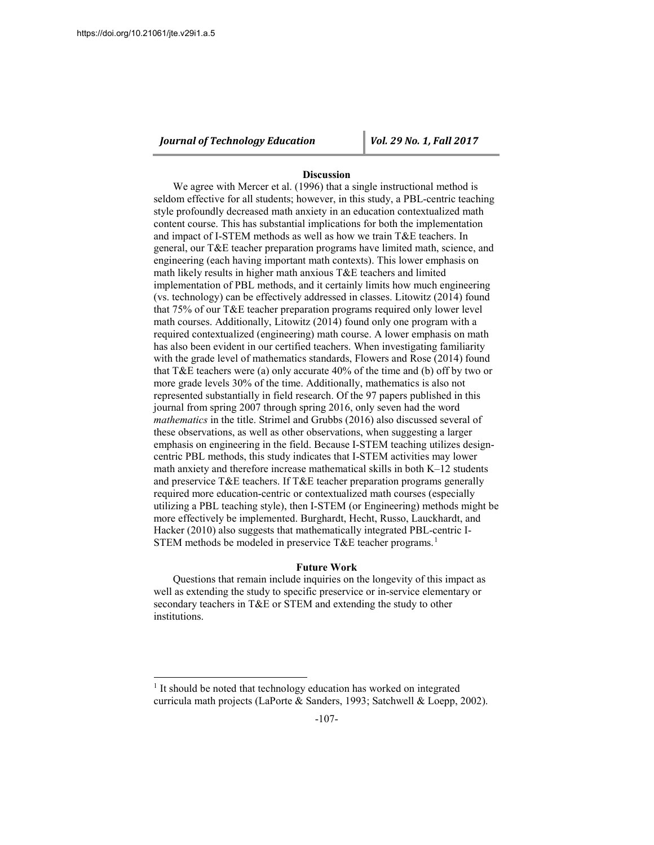$\overline{a}$ 

*Journal of Technology Education Vol. 29 No. 1, Fall 2017*

## **Discussion**

We agree with Mercer et al. (1996) that a single instructional method is seldom effective for all students; however, in this study, a PBL-centric teaching style profoundly decreased math anxiety in an education contextualized math content course. This has substantial implications for both the implementation and impact of I-STEM methods as well as how we train T&E teachers. In general, our T&E teacher preparation programs have limited math, science, and engineering (each having important math contexts). This lower emphasis on math likely results in higher math anxious T&E teachers and limited implementation of PBL methods, and it certainly limits how much engineering (vs. technology) can be effectively addressed in classes. Litowitz (2014) found that 75% of our T&E teacher preparation programs required only lower level math courses. Additionally, Litowitz (2014) found only one program with a required contextualized (engineering) math course. A lower emphasis on math has also been evident in our certified teachers. When investigating familiarity with the grade level of mathematics standards, Flowers and Rose (2014) found that T&E teachers were (a) only accurate 40% of the time and (b) off by two or more grade levels 30% of the time. Additionally, mathematics is also not represented substantially in field research. Of the 97 papers published in this journal from spring 2007 through spring 2016, only seven had the word *mathematics* in the title. Strimel and Grubbs (2016) also discussed several of these observations, as well as other observations, when suggesting a larger emphasis on engineering in the field. Because I-STEM teaching utilizes designcentric PBL methods, this study indicates that I-STEM activities may lower math anxiety and therefore increase mathematical skills in both K–12 students and preservice T&E teachers. If T&E teacher preparation programs generally required more education-centric or contextualized math courses (especially utilizing a PBL teaching style), then I-STEM (or Engineering) methods might be more effectively be implemented. Burghardt, Hecht, Russo, Lauckhardt, and Hacker (2010) also suggests that mathematically integrated PBL-centric I-STEM methods be modeled in preservice T&E teacher programs.<sup>[1](#page-12-0)</sup>

### **Future Work**

Questions that remain include inquiries on the longevity of this impact as well as extending the study to specific preservice or in-service elementary or secondary teachers in T&E or STEM and extending the study to other institutions.

<span id="page-12-0"></span><sup>&</sup>lt;sup>1</sup> It should be noted that technology education has worked on integrated curricula math projects (LaPorte & Sanders, 1993; Satchwell & Loepp, 2002).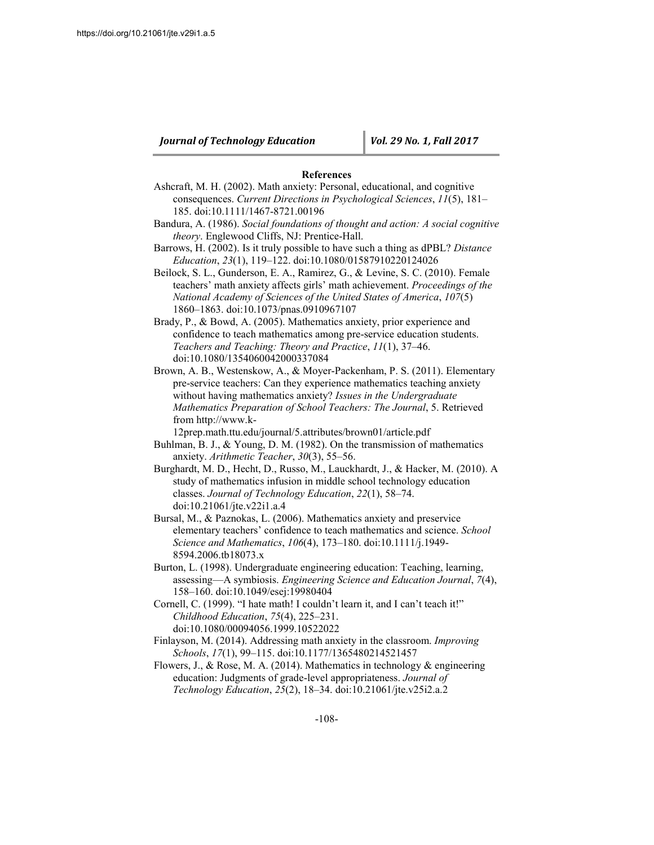## **References**

- Ashcraft, M. H. (2002). Math anxiety: Personal, educational, and cognitive consequences. *Current Directions in Psychological Sciences*, *11*(5), 181– 185. doi:10.1111/1467-8721.00196
- Bandura, A. (1986). *Social foundations of thought and action: A social cognitive theory*. Englewood Cliffs, NJ: Prentice-Hall.
- Barrows, H. (2002). Is it truly possible to have such a thing as dPBL? *Distance Education*, *23*(1), 119–122. doi:10.1080/01587910220124026
- Beilock, S. L., Gunderson, E. A., Ramirez, G., & Levine, S. C. (2010). Female teachers' math anxiety affects girls' math achievement. *Proceedings of the National Academy of Sciences of the United States of America*, *107*(5) 1860–1863. doi:10.1073/pnas.0910967107

Brady, P., & Bowd, A. (2005). Mathematics anxiety, prior experience and confidence to teach mathematics among pre-service education students. *Teachers and Teaching: Theory and Practice*, *11*(1), 37–46. doi:10.1080/1354060042000337084

Brown, A. B., Westenskow, A., & Moyer-Packenham, P. S. (2011). Elementary pre-service teachers: Can they experience mathematics teaching anxiety without having mathematics anxiety? *Issues in the Undergraduate Mathematics Preparation of School Teachers: The Journal*, 5. Retrieved from http://www.k-

12prep.math.ttu.edu/journal/5.attributes/brown01/article.pdf

- Buhlman, B. J., & Young, D. M. (1982). On the transmission of mathematics anxiety. *Arithmetic Teacher*, *30*(3), 55–56.
- Burghardt, M. D., Hecht, D., Russo, M., Lauckhardt, J., & Hacker, M. (2010). A study of mathematics infusion in middle school technology education classes. *Journal of Technology Education*, *22*(1), 58–74. doi:10.21061/jte.v22i1.a.4
- Bursal, M., & Paznokas, L. (2006). Mathematics anxiety and preservice elementary teachers' confidence to teach mathematics and science. *School Science and Mathematics*, *106*(4), 173–180. doi:10.1111/j.1949- 8594.2006.tb18073.x
- Burton, L. (1998). Undergraduate engineering education: Teaching, learning, assessing—A symbiosis. *Engineering Science and Education Journal*, *7*(4), 158–160. doi:10.1049/esej:19980404
- Cornell, C. (1999). "I hate math! I couldn't learn it, and I can't teach it!" *Childhood Education*, *75*(4), 225–231. doi:10.1080/00094056.1999.10522022
- Finlayson, M. (2014). Addressing math anxiety in the classroom. *Improving Schools*, *17*(1), 99–115. doi:10.1177/1365480214521457
- Flowers, J., & Rose, M. A. (2014). Mathematics in technology & engineering education: Judgments of grade-level appropriateness. *Journal of Technology Education*, *25*(2), 18–34. doi:10.21061/jte.v25i2.a.2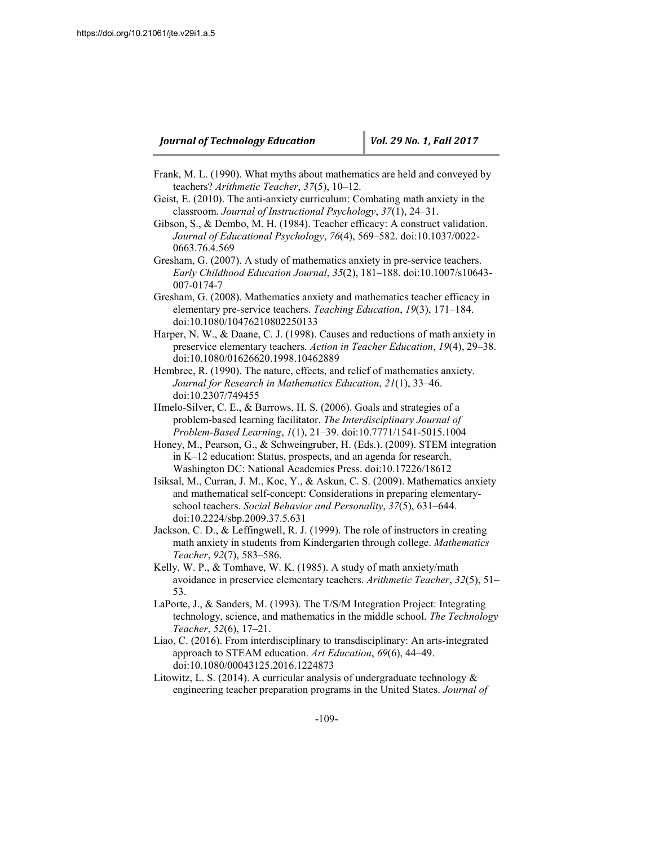- Frank, M. L. (1990). What myths about mathematics are held and conveyed by teachers? *Arithmetic Teacher*, *37*(5), 10–12.
- Geist, E. (2010). The anti-anxiety curriculum: Combating math anxiety in the classroom. *Journal of Instructional Psychology*, *37*(1), 24–31.
- Gibson, S., & Dembo, M. H. (1984). Teacher efficacy: A construct validation. *Journal of Educational Psychology*, *76*(4), 569–582. doi:10.1037/0022- 0663.76.4.569
- Gresham, G. (2007). A study of mathematics anxiety in pre-service teachers. *Early Childhood Education Journal*, *35*(2), 181–188. doi:10.1007/s10643- 007-0174-7
- Gresham, G. (2008). Mathematics anxiety and mathematics teacher efficacy in elementary pre-service teachers. *Teaching Education*, *19*(3), 171–184. doi:10.1080/10476210802250133
- Harper, N. W., & Daane, C. J. (1998). Causes and reductions of math anxiety in preservice elementary teachers. *Action in Teacher Education*, *19*(4), 29–38. doi:10.1080/01626620.1998.10462889
- Hembree, R. (1990). The nature, effects, and relief of mathematics anxiety. *Journal for Research in Mathematics Education*, *21*(1), 33–46. doi:10.2307/749455
- Hmelo-Silver, C. E., & Barrows, H. S. (2006). Goals and strategies of a problem-based learning facilitator. *The Interdisciplinary Journal of Problem-Based Learning*, *1*(1), 21–39. doi:10.7771/1541-5015.1004
- Honey, M., Pearson, G., & Schweingruber, H. (Eds.). (2009). STEM integration in K–12 education: Status, prospects, and an agenda for research. Washington DC: National Academies Press. doi:10.17226/18612
- Isiksal, M., Curran, J. M., Koc, Y., & Askun, C. S. (2009). Mathematics anxiety and mathematical self-concept: Considerations in preparing elementaryschool teachers. *Social Behavior and Personality*, *37*(5), 631–644. doi:10.2224/sbp.2009.37.5.631
- Jackson, C. D., & Leffingwell, R. J. (1999). The role of instructors in creating math anxiety in students from Kindergarten through college. *Mathematics Teacher*, *92*(7), 583–586.
- Kelly, W. P., & Tomhave, W. K. (1985). A study of math anxiety/math avoidance in preservice elementary teachers. *Arithmetic Teacher*, *32*(5), 51– 53.
- LaPorte, J., & Sanders, M. (1993). The T/S/M Integration Project: Integrating technology, science, and mathematics in the middle school. *The Technology Teacher*, *52*(6), 17–21.
- Liao, C. (2016). From interdisciplinary to transdisciplinary: An arts-integrated approach to STEAM education. *Art Education*, *69*(6), 44–49. doi:10.1080/00043125.2016.1224873
- Litowitz, L. S. (2014). A curricular analysis of undergraduate technology  $\&$ engineering teacher preparation programs in the United States. *Journal of*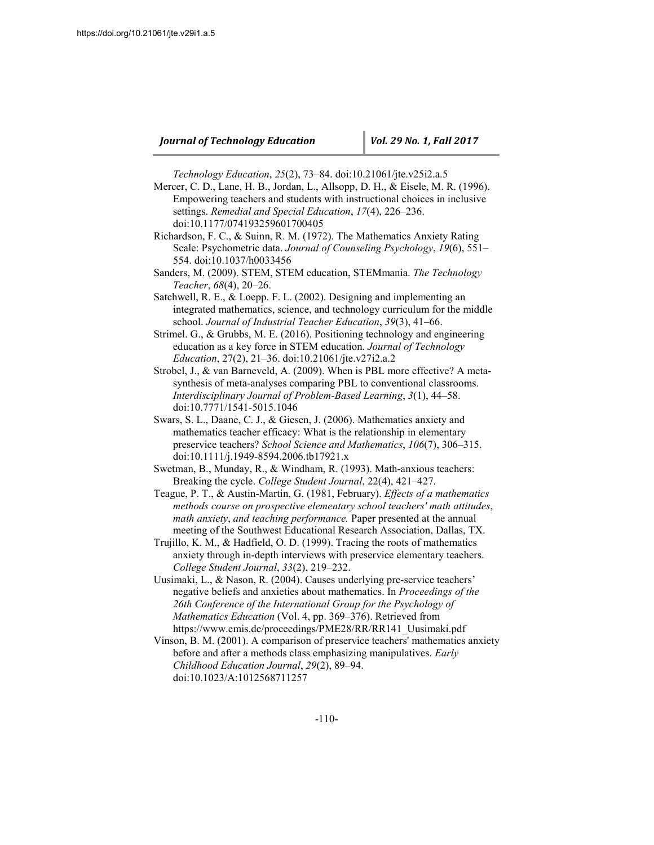*Technology Education*, *25*(2), 73–84. doi:10.21061/jte.v25i2.a.5

- Mercer, C. D., Lane, H. B., Jordan, L., Allsopp, D. H., & Eisele, M. R. (1996). Empowering teachers and students with instructional choices in inclusive settings. *Remedial and Special Education*, *17*(4), 226–236. doi:10.1177/074193259601700405
- Richardson, F. C., & Suinn, R. M. (1972). The Mathematics Anxiety Rating Scale: Psychometric data. *Journal of Counseling Psychology*, *19*(6), 551– 554. doi:10.1037/h0033456
- Sanders, M. (2009). STEM, STEM education, STEMmania. *The Technology Teacher*, *68*(4), 20–26.
- Satchwell, R. E., & Loepp. F. L. (2002). Designing and implementing an integrated mathematics, science, and technology curriculum for the middle school. *Journal of Industrial Teacher Education*, *39*(3), 41–66.
- Strimel. G., & Grubbs, M. E. (2016). Positioning technology and engineering education as a key force in STEM education. *Journal of Technology Education*, 27(2), 21–36. doi:10.21061/jte.v27i2.a.2
- Strobel, J., & van Barneveld, A. (2009). When is PBL more effective? A metasynthesis of meta-analyses comparing PBL to conventional classrooms. *Interdisciplinary Journal of Problem-Based Learning*, *3*(1), 44–58. doi:10.7771/1541-5015.1046
- Swars, S. L., Daane, C. J., & Giesen, J. (2006). Mathematics anxiety and mathematics teacher efficacy: What is the relationship in elementary preservice teachers? *School Science and Mathematics*, *106*(7), 306–315. doi:10.1111/j.1949-8594.2006.tb17921.x
- Swetman, B., Munday, R., & Windham, R. (1993). Math-anxious teachers: Breaking the cycle. *College Student Journal*, 22(4), 421–427.
- Teague, P. T., & Austin-Martin, G. (1981, February). *Effects of a mathematics methods course on prospective elementary school teachers' math attitudes*, *math anxiety*, *and teaching performance.* Paper presented at the annual meeting of the Southwest Educational Research Association, Dallas, TX.
- Trujillo, K. M., & Hadfield, O. D. (1999). Tracing the roots of mathematics anxiety through in-depth interviews with preservice elementary teachers. *College Student Journal*, *33*(2), 219–232.
- Uusimaki, L., & Nason, R. (2004). Causes underlying pre-service teachers' negative beliefs and anxieties about mathematics. In *Proceedings of the 26th Conference of the International Group for the Psychology of Mathematics Education* (Vol. 4, pp. 369–376). Retrieved from https://www.emis.de/proceedings/PME28/RR/RR141\_Uusimaki.pdf
- Vinson, B. M. (2001). A comparison of preservice teachers' mathematics anxiety before and after a methods class emphasizing manipulatives. *Early Childhood Education Journal*, *29*(2), 89–94. doi:10.1023/A:1012568711257